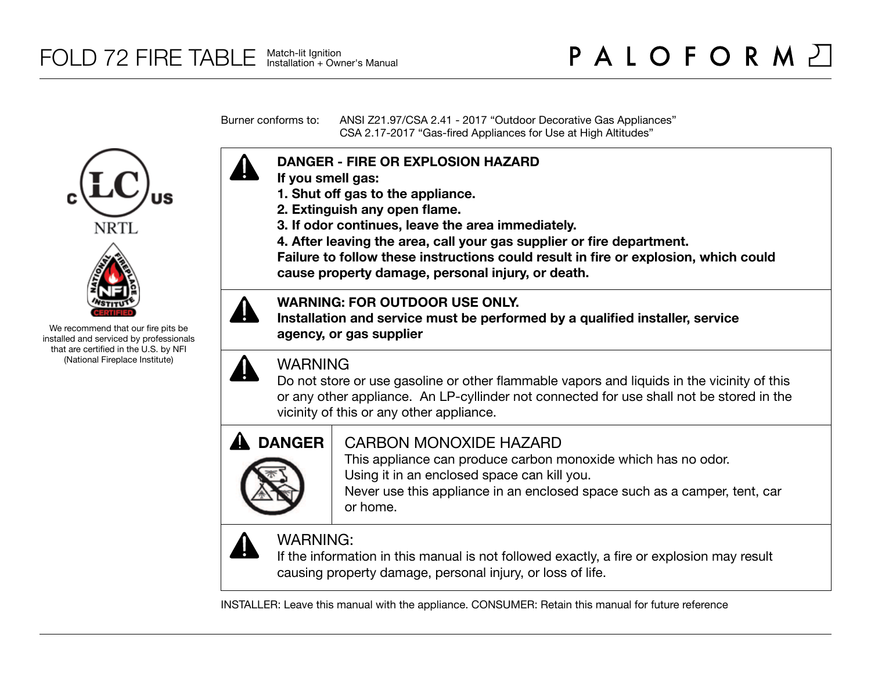Burner conforms to: ANSI Z21.97/CSA 2.41 - 2017 "Outdoor Decorative Gas Appliances" CSA 2.17-2017 "Gas-fired Appliances for Use at High Altitudes"

# **DANGER - FIRE OR EXPLOSION HAZARD**

- **If you smell gas:**
- **1. Shut off gas to the appliance.**
- **2. Extinguish any open flame.**
- **3. If odor continues, leave the area immediately.**
- **4. After leaving the area, call your gas supplier or fire department.**

**Failure to follow these instructions could result in fire or explosion, which could cause property damage, personal injury, or death.**

## **WARNING: FOR OUTDOOR USE ONLY.**

**Installation and service must be performed by a qualified installer, service agency, or gas supplier**

# WARNING

Do not store or use gasoline or other flammable vapors and liquids in the vicinity of this or any other appliance. An LP-cyllinder not connected for use shall not be stored in the vicinity of this or any other appliance.



## CARBON MONOXIDE HAZARD

This appliance can produce carbon monoxide which has no odor. Using it in an enclosed space can kill you.

Never use this appliance in an enclosed space such as a camper, tent, car or home.



# WARNING:

If the information in this manual is not followed exactly, a fire or explosion may result causing property damage, personal injury, or loss of life.

INSTALLER: Leave this manual with the appliance. CONSUMER: Retain this manual for future reference





We recommend that our fire pits be installed and serviced by professionals that are certified in the U.S. by NFI (National Fireplace Institute)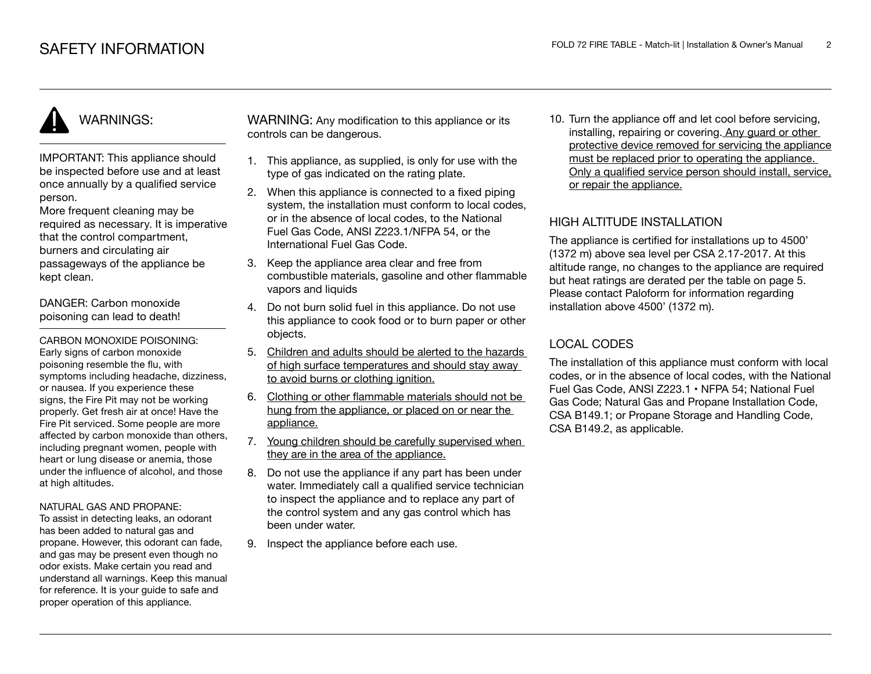# WARNINGS:

IMPORTANT: This appliance should be inspected before use and at least once annually by a qualified service person.

More frequent cleaning may be required as necessary. It is imperative that the control compartment, burners and circulating air passageways of the appliance be kept clean.

DANGER: Carbon monoxide poisoning can lead to death!

CARBON MONOXIDE POISONING: Early signs of carbon monoxide poisoning resemble the flu, with symptoms including headache, dizziness, or nausea. If you experience these signs, the Fire Pit may not be working properly. Get fresh air at once! Have the Fire Pit serviced. Some people are more affected by carbon monoxide than others, including pregnant women, people with heart or lung disease or anemia, those under the influence of alcohol, and those at high altitudes.

#### NATURAL GAS AND PROPANE:

To assist in detecting leaks, an odorant has been added to natural gas and propane. However, this odorant can fade, and gas may be present even though no odor exists. Make certain you read and understand all warnings. Keep this manual for reference. It is your guide to safe and proper operation of this appliance.

WARNING: Any modification to this appliance or its controls can be dangerous.

- 1. This appliance, as supplied, is only for use with the type of gas indicated on the rating plate.
- 2. When this appliance is connected to a fixed piping system, the installation must conform to local codes. or in the absence of local codes, to the National Fuel Gas Code, ANSI Z223.1/NFPA 54, or the International Fuel Gas Code.
- 3. Keep the appliance area clear and free from combustible materials, gasoline and other flammable vapors and liquids
- 4. Do not burn solid fuel in this appliance. Do not use this appliance to cook food or to burn paper or other objects.
- 5. Children and adults should be alerted to the hazards of high surface temperatures and should stay away to avoid burns or clothing ignition.
- 6. Clothing or other flammable materials should not be hung from the appliance, or placed on or near the appliance.
- 7. Young children should be carefully supervised when they are in the area of the appliance.
- 8. Do not use the appliance if any part has been under water. Immediately call a qualified service technician to inspect the appliance and to replace any part of the control system and any gas control which has been under water.
- 9. Inspect the appliance before each use.

10. Turn the appliance off and let cool before servicing, installing, repairing or covering. Any guard or other protective device removed for servicing the appliance must be replaced prior to operating the appliance. Only a qualified service person should install, service, or repair the appliance.

### HIGH ALTITUDE INSTALLATION

The appliance is certified for installations up to 4500' (1372 m) above sea level per CSA 2.17-2017. At this altitude range, no changes to the appliance are required but heat ratings are derated per the table on page 5. Please contact Paloform for information regarding installation above 4500' (1372 m).

## LOCAL CODES

The installation of this appliance must conform with local codes, or in the absence of local codes, with the National Fuel Gas Code, ANSI Z223.1 • NFPA 54; National Fuel Gas Code; Natural Gas and Propane Installation Code, CSA B149.1; or Propane Storage and Handling Code, CSA B149.2, as applicable.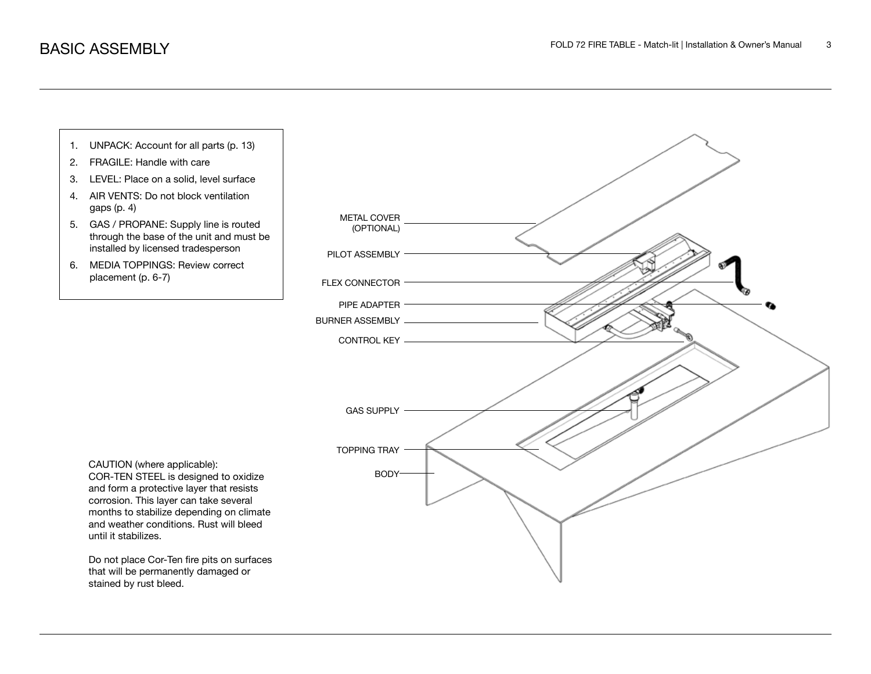

- 2. FRAGILE: Handle with care
- 3. LEVEL: Place on a solid, level surface
- 4. AIR VENTS: Do not block ventilation gaps (p. 4)
- 5. GAS / PROPANE: Supply line is routed through the base of the unit and must be installed by licensed tradesperson
- 6. MEDIA TOPPINGS: Review correct placement (p. 6-7)



CAUTION (where applicable): COR-TEN STEEL is designed to oxidize and form a protective layer that resists corrosion. This layer can take several months to stabilize depending on climate and weather conditions. Rust will bleed until it stabilizes.

Do not place Cor-Ten fire pits on surfaces that will be permanently damaged or stained by rust bleed.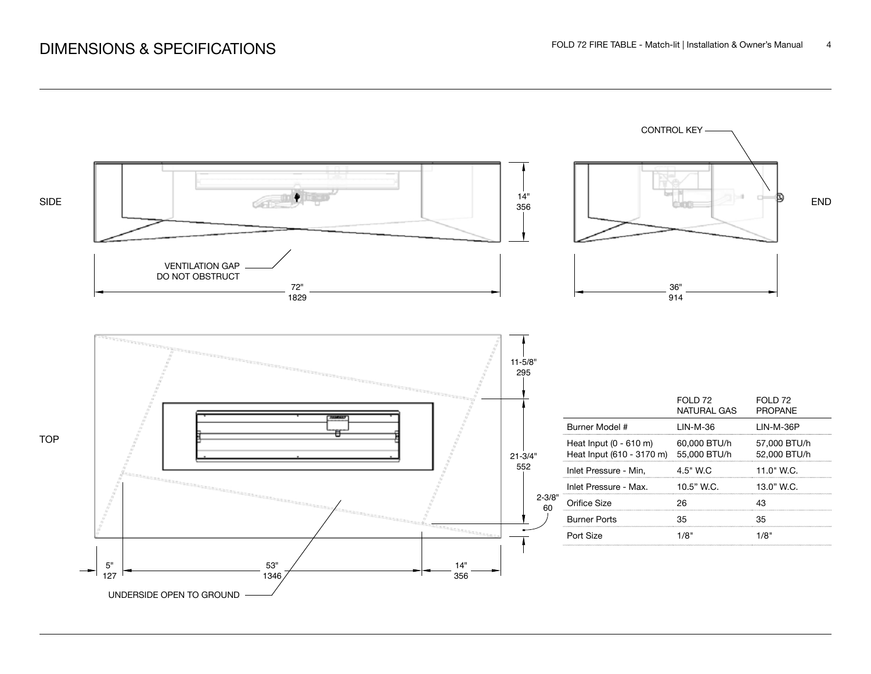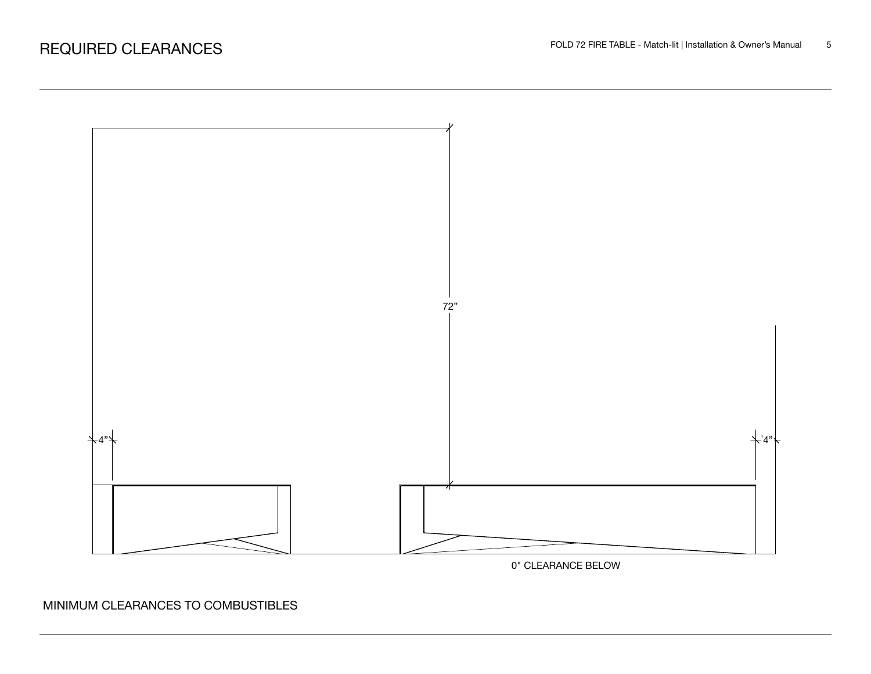



MINIMUM CLEARANCES TO COMBUSTIBLES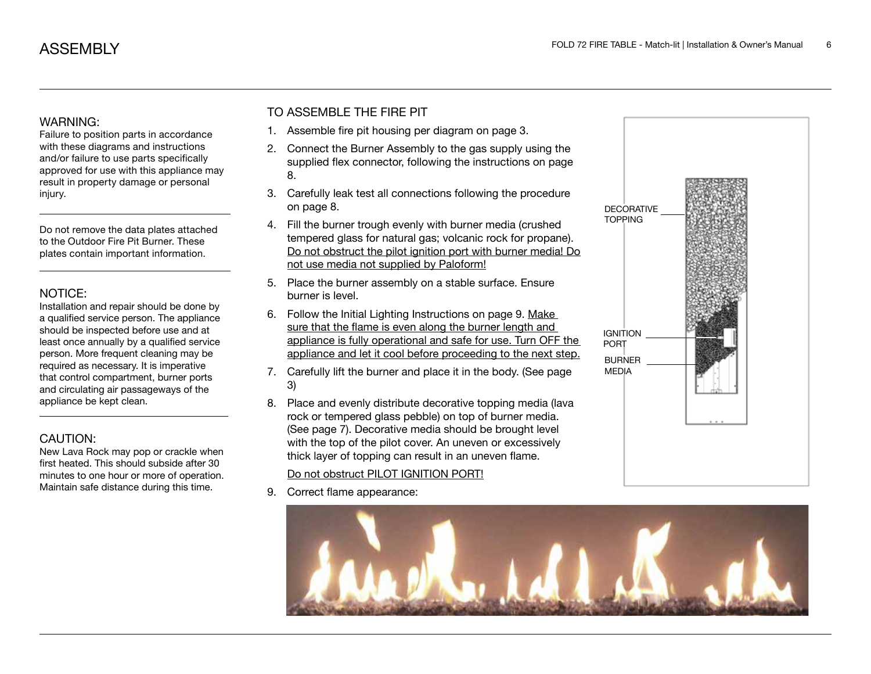### WARNING:

Failure to position parts in accordance with these diagrams and instructions and/or failure to use parts specifically approved for use with this appliance may result in property damage or personal injury.

Do not remove the data plates attached to the Outdoor Fire Pit Burner. These plates contain important information.

### NOTICE:

Installation and repair should be done by a qualified service person. The appliance should be inspected before use and at least once annually by a qualified service person. More frequent cleaning may be required as necessary. It is imperative that control compartment, burner ports and circulating air passageways of the appliance be kept clean.

### CAUTION:

New Lava Rock may pop or crackle when first heated. This should subside after 30 minutes to one hour or more of operation. Maintain safe distance during this time.

## TO ASSEMBLE THE FIRE PIT

- 1. Assemble fire pit housing per diagram on page 3.
- 2. Connect the Burner Assembly to the gas supply using the supplied flex connector, following the instructions on page 8.
- 3. Carefully leak test all connections following the procedure on page 8.
- 4. Fill the burner trough evenly with burner media (crushed tempered glass for natural gas; volcanic rock for propane). Do not obstruct the pilot ignition port with burner media! Do not use media not supplied by Paloform!
- 5. Place the burner assembly on a stable surface. Ensure burner is level.
- 6. Follow the Initial Lighting Instructions on page 9. Make sure that the flame is even along the burner length and appliance is fully operational and safe for use. Turn OFF the appliance and let it cool before proceeding to the next step.
- 7. Carefully lift the burner and place it in the body. (See page 3)
- 8. Place and evenly distribute decorative topping media (lava rock or tempered glass pebble) on top of burner media. (See page 7). Decorative media should be brought level with the top of the pilot cover. An uneven or excessively thick layer of topping can result in an uneven flame.

### Do not obstruct PILOT IGNITION PORT!

9. Correct flame appearance:



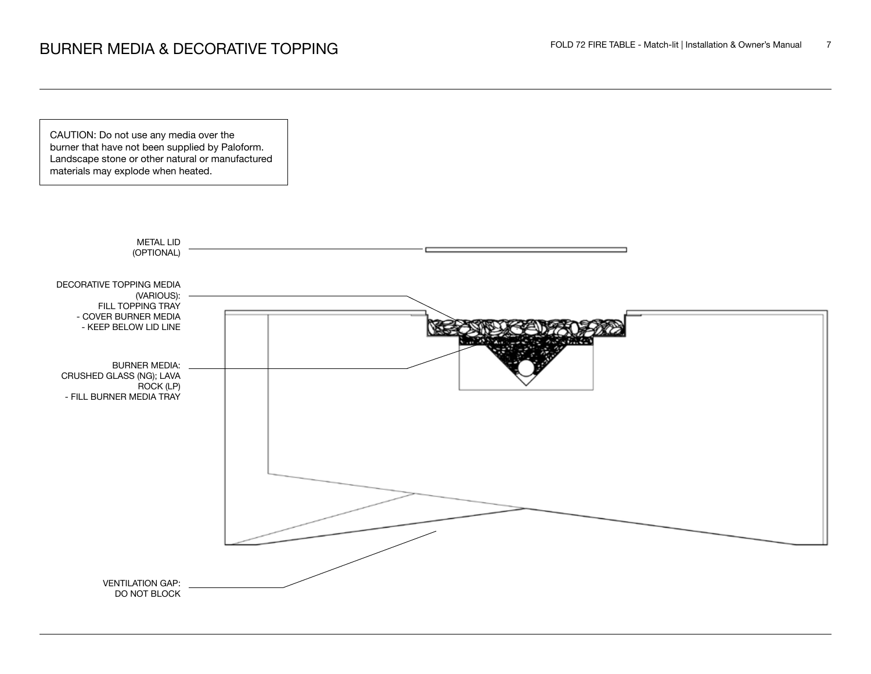CAUTION: Do not use any media over the burner that have not been supplied by Paloform. Landscape stone or other natural or manufactured materials may explode when heated.

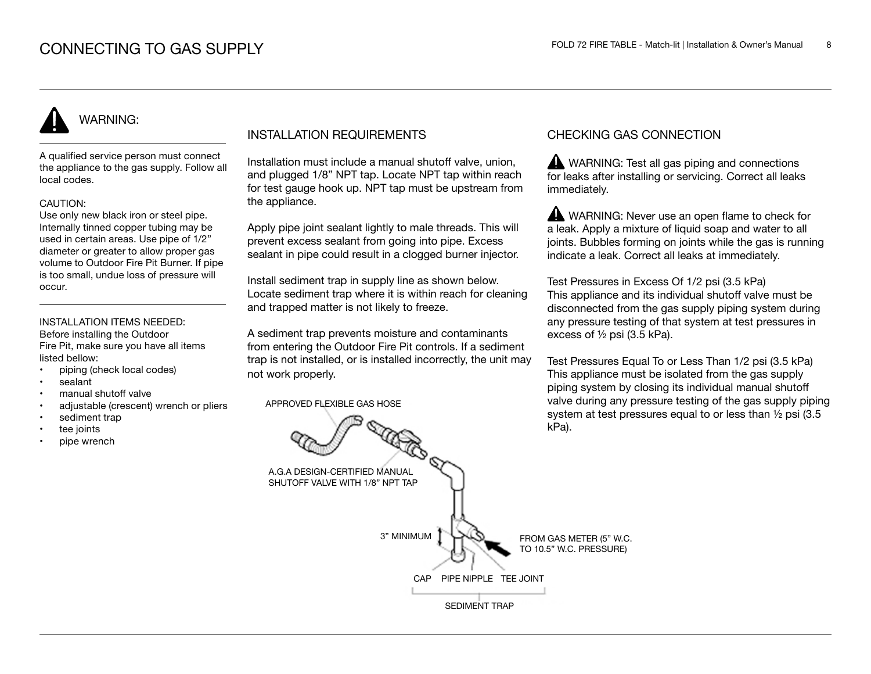# WARNING:

A qualified service person must connect the appliance to the gas supply. Follow all local codes.

### CAUTION:

Use only new black iron or steel pipe. Internally tinned copper tubing may be used in certain areas. Use pipe of 1/2" diameter or greater to allow proper gas volume to Outdoor Fire Pit Burner. If pipe is too small, undue loss of pressure will occur.

#### INSTALLATION ITEMS NEEDED: Before installing the Outdoor

Fire Pit, make sure you have all items listed bellow:

- piping (check local codes)
- sealant
- manual shutoff valve
- adjustable (crescent) wrench or pliers
- sediment trap
- tee joints
- pipe wrench

## INSTALLATION REQUIREMENTS

Installation must include a manual shutoff valve, union, and plugged 1/8" NPT tap. Locate NPT tap within reach for test gauge hook up. NPT tap must be upstream from the appliance.

Apply pipe joint sealant lightly to male threads. This will prevent excess sealant from going into pipe. Excess sealant in pipe could result in a clogged burner injector.

Install sediment trap in supply line as shown below. Locate sediment trap where it is within reach for cleaning and trapped matter is not likely to freeze.

A sediment trap prevents moisture and contaminants from entering the Outdoor Fire Pit controls. If a sediment trap is not installed, or is installed incorrectly, the unit may not work properly.

APPROVED FLEXIBLE GAS HOSE

## CHECKING GAS CONNECTION

WARNING: Test all gas piping and connections for leaks after installing or servicing. Correct all leaks immediately.

WARNING: Never use an open flame to check for a leak. Apply a mixture of liquid soap and water to all joints. Bubbles forming on joints while the gas is running indicate a leak. Correct all leaks at immediately.

Test Pressures in Excess Of 1/2 psi (3.5 kPa) This appliance and its individual shutoff valve must be disconnected from the gas supply piping system during any pressure testing of that system at test pressures in excess of ½ psi (3.5 kPa).

Test Pressures Equal To or Less Than 1/2 psi (3.5 kPa) This appliance must be isolated from the gas supply piping system by closing its individual manual shutoff valve during any pressure testing of the gas supply piping system at test pressures equal to or less than ½ psi (3.5 kPa).

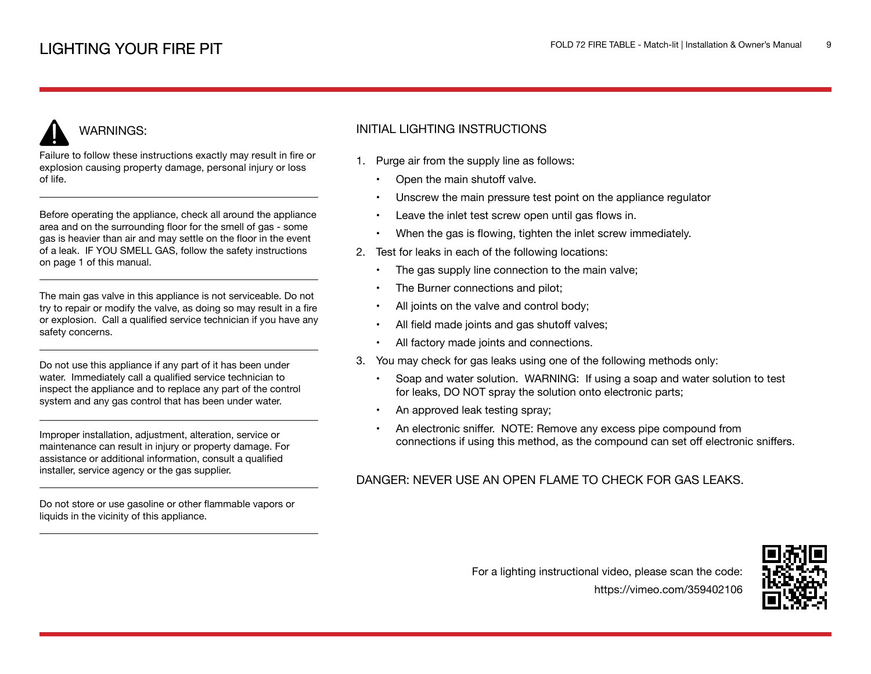## WARNINGS:

Failure to follow these instructions exactly may result in fire or explosion causing property damage, personal injury or loss of life.

Before operating the appliance, check all around the appliance area and on the surrounding floor for the smell of gas - some gas is heavier than air and may settle on the floor in the event of a leak. IF YOU SMELL GAS, follow the safety instructions on page 1 of this manual.

The main gas valve in this appliance is not serviceable. Do not try to repair or modify the valve, as doing so may result in a fire or explosion. Call a qualified service technician if you have any safety concerns.

Do not use this appliance if any part of it has been under water. Immediately call a qualified service technician to inspect the appliance and to replace any part of the control system and any gas control that has been under water.

Improper installation, adjustment, alteration, service or maintenance can result in injury or property damage. For assistance or additional information, consult a qualified installer, service agency or the gas supplier.

Do not store or use gasoline or other flammable vapors or liquids in the vicinity of this appliance.

## INITIAL LIGHTING INSTRUCTIONS

- 1. Purge air from the supply line as follows:
	- Open the main shutoff valve.
	- Unscrew the main pressure test point on the appliance regulator
	- Leave the inlet test screw open until gas flows in.
	- When the gas is flowing, tighten the inlet screw immediately.
- 2. Test for leaks in each of the following locations:
	- The gas supply line connection to the main valve;
	- The Burner connections and pilot;
	- All joints on the valve and control body;
	- All field made joints and gas shutoff valves;
	- All factory made joints and connections.
- 3. You may check for gas leaks using one of the following methods only:
	- Soap and water solution. WARNING: If using a soap and water solution to test for leaks, DO NOT spray the solution onto electronic parts;
	- An approved leak testing spray;
	- An electronic sniffer. NOTE: Remove any excess pipe compound from connections if using this method, as the compound can set off electronic sniffers.

### DANGER: NEVER USE AN OPEN FLAME TO CHECK FOR GAS LEAKS.

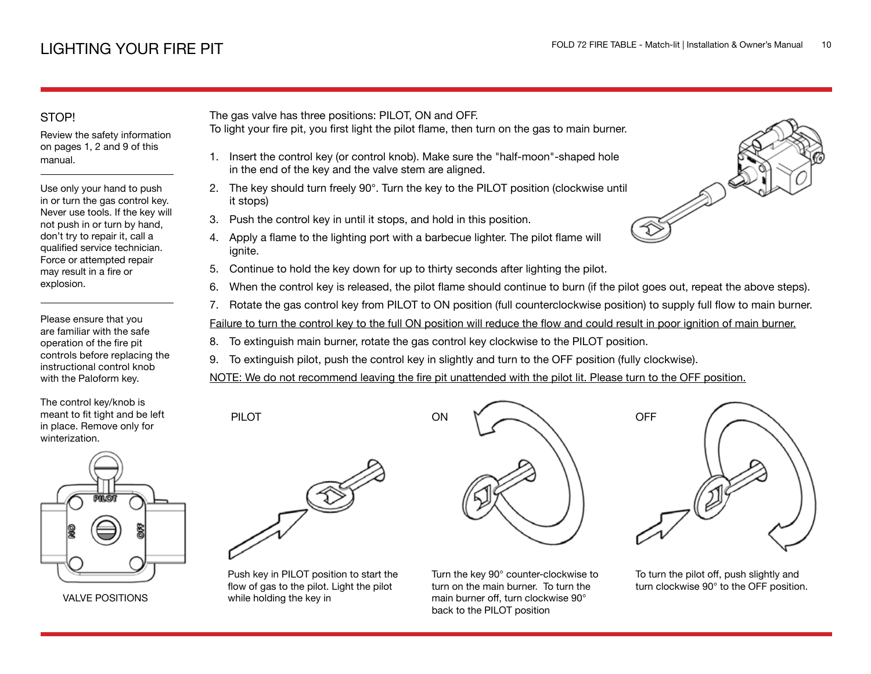## STOP!

Review the safety information on pages 1, 2 and 9 of this manual.

Use only your hand to push in or turn the gas control key. Never use tools. If the key will not push in or turn by hand, don't try to repair it, call a qualified service technician. Force or attempted repair may result in a fire or explosion.

Please ensure that you are familiar with the safe operation of the fire pit controls before replacing the instructional control knob with the Paloform key.

The control key/knob is meant to fit tight and be left in place. Remove only for winterization.



VALVE POSITIONS

The gas valve has three positions: PILOT, ON and OFF.

- To light your fire pit, you first light the pilot flame, then turn on the gas to main burner.
	- 1. Insert the control key (or control knob). Make sure the "half-moon"-shaped hole in the end of the key and the valve stem are aligned.
- 2. The key should turn freely 90°. Turn the key to the PILOT position (clockwise until it stops)
- 3. Push the control key in until it stops, and hold in this position.
- 4. Apply a flame to the lighting port with a barbecue lighter. The pilot flame will ignite.
- 5. Continue to hold the key down for up to thirty seconds after lighting the pilot.
- 6. When the control key is released, the pilot flame should continue to burn (if the pilot goes out, repeat the above steps).
- 7. Rotate the gas control key from PILOT to ON position (full counterclockwise position) to supply full flow to main burner.

Failure to turn the control key to the full ON position will reduce the flow and could result in poor ignition of main burner.

- 8. To extinguish main burner, rotate the gas control key clockwise to the PILOT position.
- 9. To extinguish pilot, push the control key in slightly and turn to the OFF position (fully clockwise).

NOTE: We do not recommend leaving the fire pit unattended with the pilot lit. Please turn to the OFF position.



PILOT

Push key in PILOT position to start the flow of gas to the pilot. Light the pilot while holding the key in



Turn the key 90° counter-clockwise to turn on the main burner. To turn the main burner off, turn clockwise 90° back to the PILOT position



To turn the pilot off, push slightly and turn clockwise 90° to the OFF position.

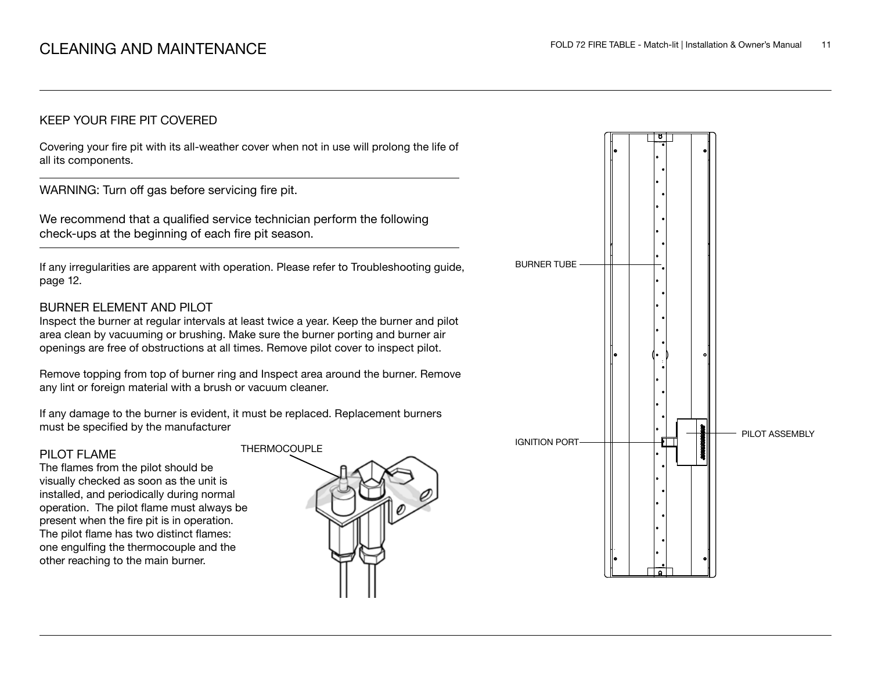### KEEP YOUR FIRE PIT COVERED

Covering your fire pit with its all-weather cover when not in use will prolong the life of all its components.

WARNING: Turn off gas before servicing fire pit.

We recommend that a qualified service technician perform the following check-ups at the beginning of each fire pit season.

If any irregularities are apparent with operation. Please refer to Troubleshooting guide, page 12.

### BURNER ELEMENT AND PILOT

Inspect the burner at regular intervals at least twice a year. Keep the burner and pilot area clean by vacuuming or brushing. Make sure the burner porting and burner air openings are free of obstructions at all times. Remove pilot cover to inspect pilot.

Remove topping from top of burner ring and Inspect area around the burner. Remove any lint or foreign material with a brush or vacuum cleaner.

If any damage to the burner is evident, it must be replaced. Replacement burners must be specified by the manufacturer

### PILOT FLAME

The flames from the pilot should be visually checked as soon as the unit is installed, and periodically during normal operation. The pilot flame must always be present when the fire pit is in operation. The pilot flame has two distinct flames: one engulfing the thermocouple and the other reaching to the main burner.



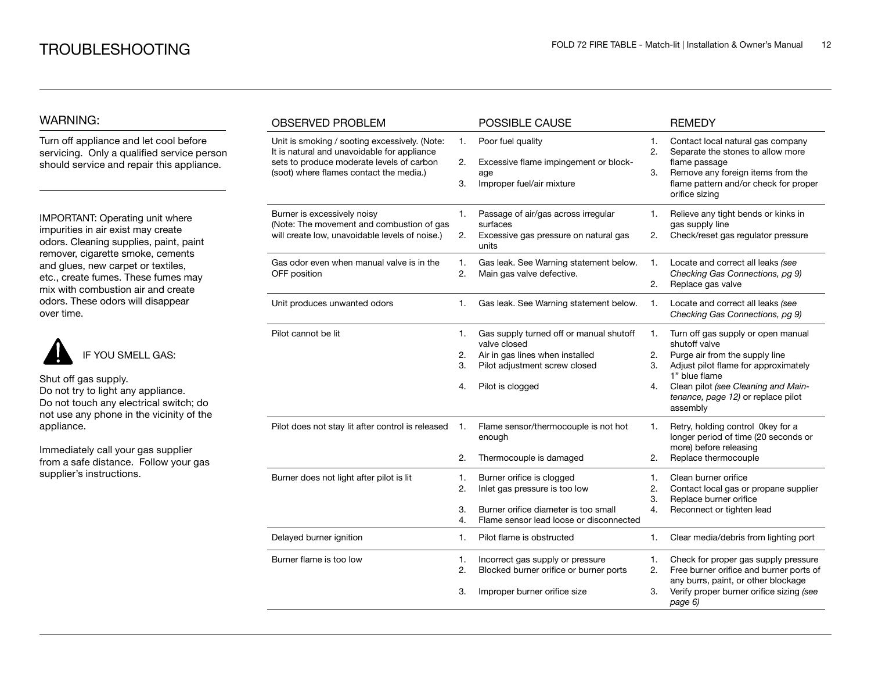### WARNING:

Turn off appliance and let cool before servicing. Only a qualified service person should service and repair this appliance.

IMPORTANT: Operating unit where impurities in air exist may create odors. Cleaning supplies, paint, paint remover, cigarette smoke, cements and glues, new carpet or textiles, etc., create fumes. These fumes may mix with combustion air and create odors. These odors will disappear over time.



Shut off gas supply.

Do not try to light any appliance. Do not touch any electrical switch; do not use any phone in the vicinity of the appliance.

Immediately call your gas supplier from a safe distance. Follow your gas supplier's instructions.

| <b>OBSERVED PROBLEM</b>                                                                                                                                                              |                      | POSSIBLE CAUSE                                                                                                                                  |                      | <b>REMEDY</b>                                                                                                                                                                                                                           |
|--------------------------------------------------------------------------------------------------------------------------------------------------------------------------------------|----------------------|-------------------------------------------------------------------------------------------------------------------------------------------------|----------------------|-----------------------------------------------------------------------------------------------------------------------------------------------------------------------------------------------------------------------------------------|
| Unit is smoking / sooting excessively. (Note:<br>It is natural and unavoidable for appliance<br>sets to produce moderate levels of carbon<br>(soot) where flames contact the media.) | 1.<br>2.<br>3.       | Poor fuel quality<br>Excessive flame impingement or block-<br>age<br>Improper fuel/air mixture                                                  | 1.<br>2.<br>3.       | Contact local natural gas company<br>Separate the stones to allow more<br>flame passage<br>Remove any foreign items from the<br>flame pattern and/or check for proper<br>orifice sizing                                                 |
| Burner is excessively noisy<br>(Note: The movement and combustion of gas<br>will create low, unavoidable levels of noise.)                                                           | 1.<br>2.             | Passage of air/gas across irregular<br>surfaces<br>Excessive gas pressure on natural gas<br>units                                               | 1.<br>2.             | Relieve any tight bends or kinks in<br>gas supply line<br>Check/reset gas regulator pressure                                                                                                                                            |
| Gas odor even when manual valve is in the<br>OFF position                                                                                                                            | 1.<br>2.             | Gas leak. See Warning statement below.<br>Main gas valve defective.                                                                             | 1.<br>2.             | Locate and correct all leaks (see<br>Checking Gas Connections, pg 9)<br>Replace gas valve                                                                                                                                               |
| Unit produces unwanted odors                                                                                                                                                         | 1.                   | Gas leak. See Warning statement below.                                                                                                          | 1.                   | Locate and correct all leaks (see<br>Checking Gas Connections, pg 9)                                                                                                                                                                    |
| Pilot cannot be lit                                                                                                                                                                  | 1.<br>2.<br>3.<br>4. | Gas supply turned off or manual shutoff<br>valve closed<br>Air in gas lines when installed<br>Pilot adjustment screw closed<br>Pilot is clogged | 1.<br>2.<br>3.<br>4. | Turn off gas supply or open manual<br>shutoff valve<br>Purge air from the supply line<br>Adjust pilot flame for approximately<br>1" blue flame<br>Clean pilot (see Cleaning and Main-<br>tenance, page 12) or replace pilot<br>assembly |
| Pilot does not stay lit after control is released                                                                                                                                    | 1.<br>2.             | Flame sensor/thermocouple is not hot<br>enough<br>Thermocouple is damaged                                                                       | 1.<br>2.             | Retry, holding control 0key for a<br>longer period of time (20 seconds or<br>more) before releasing<br>Replace thermocouple                                                                                                             |
| Burner does not light after pilot is lit                                                                                                                                             | 1.<br>2.<br>3.<br>4. | Burner orifice is clogged<br>Inlet gas pressure is too low<br>Burner orifice diameter is too small<br>Flame sensor lead loose or disconnected   | 1.<br>2.<br>3.<br>4. | Clean burner orifice<br>Contact local gas or propane supplier<br>Replace burner orifice<br>Reconnect or tighten lead                                                                                                                    |
| Delayed burner ignition                                                                                                                                                              | 1.                   | Pilot flame is obstructed                                                                                                                       | 1.                   | Clear media/debris from lighting port                                                                                                                                                                                                   |
| Burner flame is too low                                                                                                                                                              | 1.<br>2.<br>3.       | Incorrect gas supply or pressure<br>Blocked burner orifice or burner ports<br>Improper burner orifice size                                      | 1.<br>2.<br>3.       | Check for proper gas supply pressure<br>Free burner orifice and burner ports of<br>any burrs, paint, or other blockage<br>Verify proper burner orifice sizing (see<br>page 6)                                                           |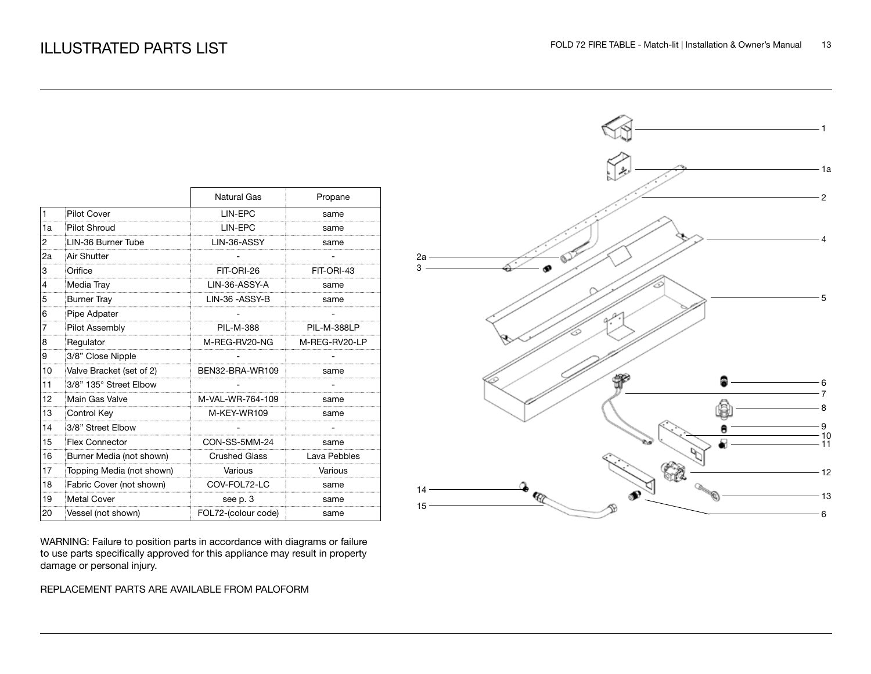|                |                           | <b>Natural Gas</b>   | Propane            |
|----------------|---------------------------|----------------------|--------------------|
| $\mathbf{1}$   | <b>Pilot Cover</b>        | LIN-EPC              | same               |
| 1a             | <b>Pilot Shroud</b>       | LIN-EPC              | same               |
| $\overline{2}$ | LIN-36 Burner Tube        | LIN-36-ASSY          | same               |
| 2a             | Air Shutter               |                      |                    |
| 3              | Orifice                   | FIT-ORI-26           | FIT-ORI-43         |
| $\overline{4}$ | Media Tray                | LIN-36-ASSY-A        | same               |
| 5              | <b>Burner Tray</b>        | LIN-36 - ASSY-B      | same               |
| 6              | Pipe Adpater              |                      |                    |
| $\overline{7}$ | Pilot Assembly            | PIL-M-388            | <b>PIL-M-388LP</b> |
| 8              | Regulator                 | M-REG-RV20-NG        | M-REG-RV20-LP      |
| 9              | 3/8" Close Nipple         |                      |                    |
| 10             | Valve Bracket (set of 2)  | BEN32-BRA-WR109      | same               |
| 11             | 3/8" 135° Street Elbow    |                      |                    |
| 12             | Main Gas Valve            | M-VAL-WR-764-109     | same               |
| 13             | Control Key               | M-KEY-WR109          | same               |
| 14             | 3/8" Street Elbow         |                      |                    |
| 15             | <b>Flex Connector</b>     | CON-SS-5MM-24        | same               |
| 16             | Burner Media (not shown)  | <b>Crushed Glass</b> | Lava Pebbles       |
| 17             | Topping Media (not shown) | Various              | Various            |
| 18             | Fabric Cover (not shown)  | COV-FOL72-LC         | same               |
| 19             | <b>Metal Cover</b>        | see p. 3             | same               |
| 20             | Vessel (not shown)        | FOL72-(colour code)  | same               |

WARNING: Failure to position parts in accordance with diagrams or failure to use parts specifically approved for this appliance may result in property damage or personal injury.

REPLACEMENT PARTS ARE AVAILABLE FROM PALOFORM